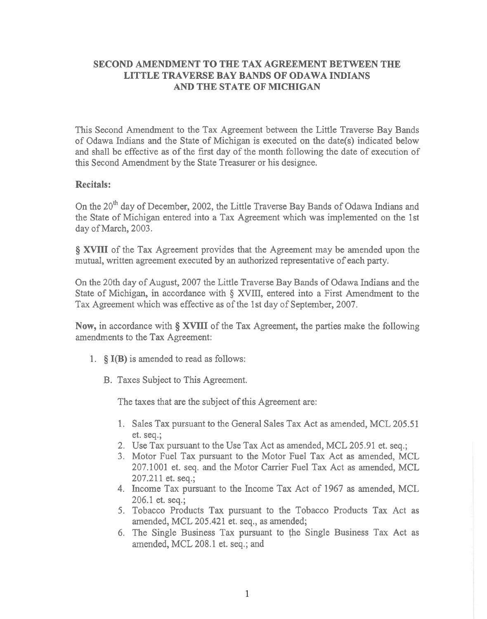## **SECOND AMENDMENT TO THE TAX AGREEMENT BETWEEN THE LITTLE TRAVERSE BAY BANDS OF ODAWA INDIANS AND THE STATE OF MICHIGAN**

This Second Amendment to the Tax Agreement between the Little Traverse Bay Bands of Odawa Indians and the State of Michigan is executed on the date(s) indicated below and shall be effective as of the first day of the month following the date of execution of this Second Amendment by the State Treasurer or his designee.

#### **Recitals:**

On the 20<sup>th</sup> day of December, 2002, the Little Traverse Bay Bands of Odawa Indians and the State of Michigan entered into a Tax Agreement which was implemented on the 1st day of March, 2003.

**8 XVIII** of the Tax Agreement provides that the Agreement may be amended upon the mutual, written agreement executed by an authorized representative of each party.

On the 20th day of August, 2007 the Little Traverse Bay Bands of Odawa Indians and the State of Michigan, in accordance with *5* XVIII, entered into a First Amendment to the Tax Agreement which was effective as of the 1st day of September, 2007.

**Now, in** accordance with **5 XVIII** of the Tax Agreement, the parties make the following amendments to the Tax Agreement:

- 1. **5 I(B)** is amended to read as follows:
	- B. Taxes Subject to This Agreement.

The taxes that are the subject of this Agreement are:

- 1. Sales Tax pursuant to the General Sales Tax Act as amended, MCL 205.5 1 et. seq.;
- 2. Use Tax pursuant to the Use Tax Act as amended, MCL 205.91 et. seq.;
- 3. Motor Fuel Tax pursuant to the Motor Fuel Tax Act as amended, MCL 207.1001 et. seq. and the Motor Carrier Fuel Tax Act as amended, MCL 207.211 et. seq.;
- 4. Income Tax pursuant to the Income Tax Act of 1967 as amended, MCL 206.1 et. seq.;
- 5. Tobacco Products Tax pursuant to the Tobacco Products Tax Act as amended, MCL 205.421 et. seq., as amended;
- 6. The Single Business Tax pursuant to the Single Business Tax Act as amended, MCL 208.1 et. seq.; and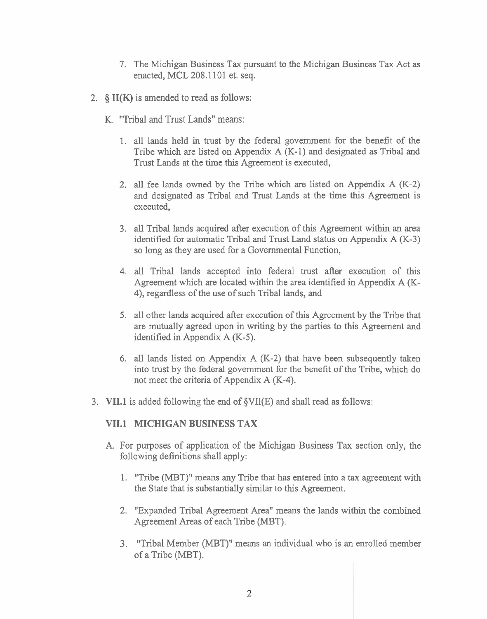- 7. The Michigan Business Tax pursuant to the Michigan Business Tax Act as enacted, MCL 208.1 101 et. seq.
- 2. **§ II(K)** is amended to read as follows:
	- K. "Tribal and Trust Lands" means:
		- 1. all lands held in trust by the federal government for the benefit of the Tribe which are listed on Appendix A (K-1) and designated as Tribal and Trust Lands at the time this Agreement is executed,
		- 2. all fee lands owned by the Tribe which are listed on Appendix **A** (K-2) and designated as Tribal and Trust Lands at the time this Agreement is executed,
		- 3. all Tribal lands acquired after execution of this Agreement within an area identified for automatic Tribal and Trust Land status on Appendix  $A$  (K-3) so long as they are used for a Governmental Function,
		- 4. all Tribal lands accepted into federal trust after execution of this Agreement which are located within the area identified in Appendix A (K-4), regardless of the use of such Tribal lands, and
		- 5. all other lands acquired after execution of this Agreement by the Tribe that are mutually agreed upon in writing by the parties to this Agreement and identified in Appendix A (K-5).
		- 6. all lands listed on Appendix A (K-2) that have been subsequently taken into trust by the federal government for the benefit of the Tribe, which do not meet the criteria of Appendix A (K-4).
- **3. VII.l** is added following the end of §VII(E) and shall read as follows:

## **VII.l MICHIGAN BUSINESS TAX**

- A. For purposes of application of the Michigan Business Tax section only, the following definitions shall apply:
	- 1. "Tribe (MBT)" means any Tribe that has entered into a tax agreement with the State that is substantially similar to this Agreement.
	- 2. "Expanded Tribal Agreement Area" means the lands within the combined Agreement Areas of each Tribe (MBT).
	- 3. "Tribal Member (MBT)" means an individual who is an enrolled member of a Tribe (MBT).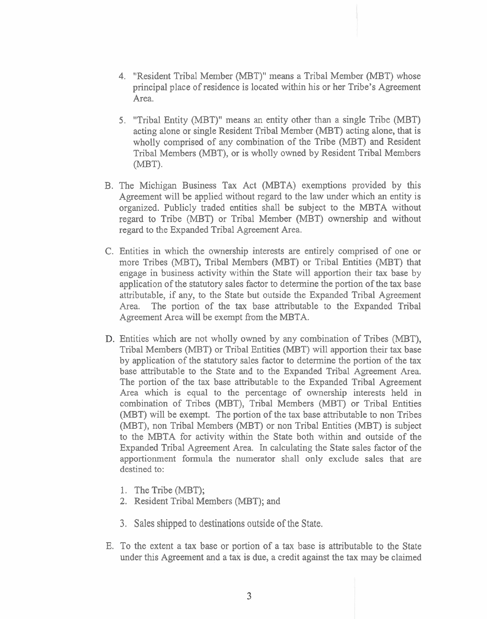- 4. "Resident Tribal Member (MBT)" means a Tribal Member (MBT) whose principal place of residence is located within his or her Tribe's Agreement Area.
- 5. "Tribal Entity (MBT)" means an entity other than a single Tribe (MBT) acting alone or single Resident Tribal Member (MBT) acting alone, that is wholly comprised of any combination of the Tribe (MBT) and Resident Tribal Members (MBT), or is wholly owned by Resident Tribal Members  $(MBT)$ .
- B. The Michlgan Business Tax Act (MBTA) exemptions provided by this Agreement will be applied without regard to the law under which an entity is organized. Publicly traded entities shall be subject to the MBTA without regard to Tribe (MBT) or Tribal Member (MBT) ownership and without regard to the Expanded Tribal Agreement Area.
- C. Entities in which the ownership interests are entirely comprised of one or more Tribes (MBT), Tribal Members (MBT) or Tribal Entities (MBT) that engage in business activity within the State will apportion their tax base by application of the statutory sales factor to determine the portion of the tax base attributable, if any, to the State but outside the Expanded Tribal Agreement Area. The portion of the tax base attributable to the Expanded Tribal Agreement Area will be exempt from the MBTA.
- Entities which are not wholly owned by any combination of Tribes (MBT), Tribal Members (MBT) or Tribal Entities (MBT) will apportion their tax base by application of the statutory sales factor to determine the portion of the tax base attributable to the State and to the Expanded Tribal Agreement Area. The portion of the tax base attributable to the Expanded Tribal Agreement Area which is equal to the percentage of ownership interests held in combination of Tribes (MBT), Tribal Members (MBT) or Tribal Entities (MBT) will be exempt. The portion of the tax base attributable to non Tribes (MBT), non Tribal Members (MBT) or non Tribal Entities (MBT) is subject to the MBTA for activity within the State both within and outside of the Expanded Tribal Agreement Area. In calculating the State sales factor of the apportionment formula the numerator shall only exclude sales that are destined to:
	- I. The Tribe (MBT);
	- **2.** Resident Tribal Members (MBT); and
	- **3.** Sales shipped to destinations outside of the State.
- E. To the extent a tax base or portion of a tax base is attributable to the State under this Agreement and a tax is due, a credit against the tax may be claimed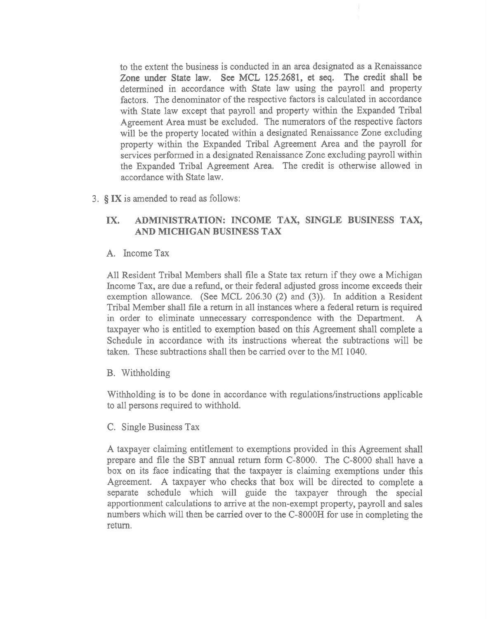to the extent the business is conducted in an area designated as a Renaissance Zone under State law. See MCL 125.2681, et seq. The credit shall be determined in accordance with State law using the payroll and property factors. The denominator of the respective factors is calculated in accordance with State law except that payroll and property within the Expanded Tribal Agreement Area must be excluded. The numerators of the respective factors will be the property located within a designated Renaissance Zone excluding property within the Expanded Tribal Agreement Area and the payroll for services performed in a designated Renaissance Zone excluding payroll within the Expanded Tribal Agreement Area. The credit is otherwise allowed in accordance with State law.

3. *5* **IX** is amended to read as follows:

# **IX. ADMINISTRATION: INCOME TAX, SINGLE BUSINESS TAX, AND MICHIGAN BUSINESS TAX**

A. Income Tax

All Resident Tribal Members shall file a State tax return if they owe a Michigan Income Tax, are due a refund, or their federal adjusted gross income exceeds their exemption allowance. (See MCL 206.30 (2) and **(3)).** In addition a Resident Tribal Member shall file a return in all instances where a federal return is required in order to eliminate unnecessary correspondence with the Department. A taxpayer who is entitled to exemption based on this Agreement shall complete a Schedule in accordance with its instructions whereat the subtractions will be taken. These subtractions shall then be carried over to the MI 1040.

B. Withholding

Withholding is to be done in accordance with regulations/instructions applicable to all persons required to withhold.

C. Single Business Tax

A taxpayer claiming entitlement to exemptions provided in this Agreement shall prepare and file the SBT annual return form C-8000. The C-8000 shall have a box on its face indicating that the taxpayer is claiming exemptions under this Agreement. A taxpayer who checks that box will be directed to complete a separate schedule which will guide the taxpayer through the special apportionment calculations to arrive at the non-exempt property, payroll and sales numbers which will then be carried over to the C-8000H for use in completing the return.